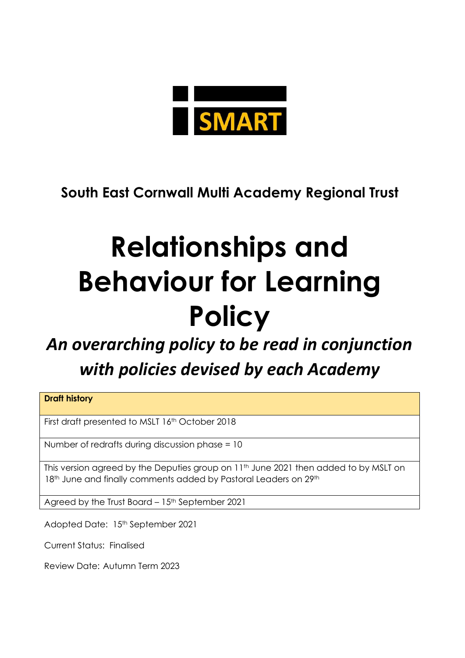

**South East Cornwall Multi Academy Regional Trust**

## **Relationships and Behaviour for Learning Policy**

## *An overarching policy to be read in conjunction with policies devised by each Academy*

**Draft history**

First draft presented to MSLT 16th October 2018

Number of redrafts during discussion phase = 10

This version agreed by the Deputies group on 11<sup>th</sup> June 2021 then added to by MSLT on 18<sup>th</sup> June and finally comments added by Pastoral Leaders on 29<sup>th</sup>

Agreed by the Trust Board - 15<sup>th</sup> September 2021

Adopted Date: 15th September 2021

Current Status: Finalised

Review Date: Autumn Term 2023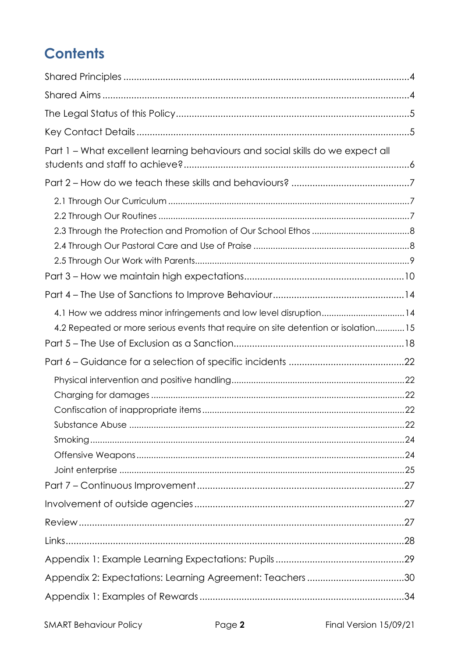## **Contents**

| Part 1 - What excellent learning behaviours and social skills do we expect all                                                                         |  |
|--------------------------------------------------------------------------------------------------------------------------------------------------------|--|
|                                                                                                                                                        |  |
|                                                                                                                                                        |  |
|                                                                                                                                                        |  |
|                                                                                                                                                        |  |
| 4.1 How we address minor infringements and low level disruption14<br>4.2 Repeated or more serious events that require on site detention or isolation15 |  |
|                                                                                                                                                        |  |
|                                                                                                                                                        |  |
|                                                                                                                                                        |  |
|                                                                                                                                                        |  |
|                                                                                                                                                        |  |
| Appendix 2: Expectations: Learning Agreement: Teachers30                                                                                               |  |
|                                                                                                                                                        |  |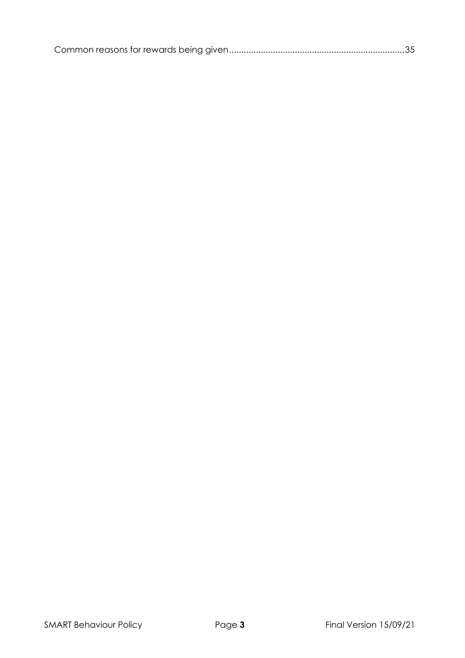|--|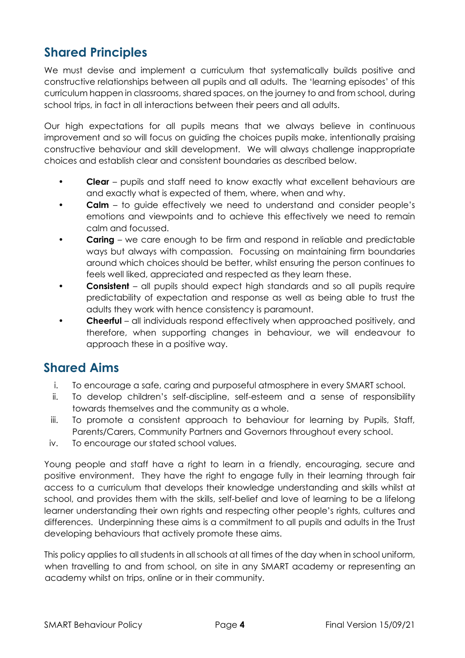## <span id="page-3-0"></span>**Shared Principles**

We must devise and implement a curriculum that systematically builds positive and constructive relationships between all pupils and all adults. The 'learning episodes' of this curriculum happen in classrooms, shared spaces, on the journey to and from school, during school trips, in fact in all interactions between their peers and all adults.

Our high expectations for all pupils means that we always believe in continuous improvement and so will focus on guiding the choices pupils make, intentionally praising constructive behaviour and skill development. We will always challenge inappropriate choices and establish clear and consistent boundaries as described below.

- **Clear**  pupils and staff need to know exactly what excellent behaviours are and exactly what is expected of them, where, when and why.
- **Calm** to guide effectively we need to understand and consider people's emotions and viewpoints and to achieve this effectively we need to remain calm and focussed.
- **Caring** we care enough to be firm and respond in reliable and predictable ways but always with compassion. Focussing on maintaining firm boundaries around which choices should be better, whilst ensuring the person continues to feels well liked, appreciated and respected as they learn these.
- **Consistent**  all pupils should expect high standards and so all pupils require predictability of expectation and response as well as being able to trust the adults they work with hence consistency is paramount.
- **Cheerful**  all individuals respond effectively when approached positively, and therefore, when supporting changes in behaviour, we will endeavour to approach these in a positive way.

## <span id="page-3-1"></span>**Shared Aims**

- i. To encourage a safe, caring and purposeful atmosphere in every SMART school.
- ii. To develop children's self-discipline, self-esteem and a sense of responsibility towards themselves and the community as a whole.
- iii. To promote a consistent approach to behaviour for learning by Pupils, Staff, Parents/Carers, Community Partners and Governors throughout every school.
- iv. To encourage our stated school values.

Young people and staff have a right to learn in a friendly, encouraging, secure and positive environment. They have the right to engage fully in their learning through fair access to a curriculum that develops their knowledge understanding and skills whilst at school, and provides them with the skills, self-belief and love of learning to be a lifelong learner understanding their own rights and respecting other people's rights, cultures and differences. Underpinning these aims is a commitment to all pupils and adults in the Trust developing behaviours that actively promote these aims.

This policy applies to all students in all schools at all times of the day when in school uniform, when travelling to and from school, on site in any SMART academy or representing an academy whilst on trips, online or in their community.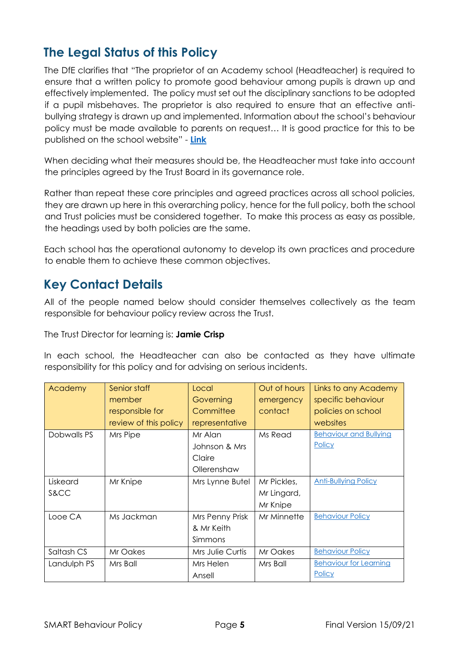## <span id="page-4-0"></span>**The Legal Status of this Policy**

The DfE clarifies that "The proprietor of an Academy school (Headteacher) is required to ensure that a written policy to promote good behaviour among pupils is drawn up and effectively implemented. The policy must set out the disciplinary sanctions to be adopted if a pupil misbehaves. The proprietor is also required to ensure that an effective antibullying strategy is drawn up and implemented. Information about the school's behaviour policy must be made available to parents on request… It is good practice for this to be published on the school website" - **[Link](https://assets.publishing.service.gov.uk/government/uploads/system/uploads/attachment_data/file/488034/Behaviour_and_Discipline_in_Schools_-_A_guide_for_headteachers_and_School_Staff.pdf)**

When deciding what their measures should be, the Headteacher must take into account the principles agreed by the Trust Board in its governance role.

Rather than repeat these core principles and agreed practices across all school policies, they are drawn up here in this overarching policy, hence for the full policy, both the school and Trust policies must be considered together. To make this process as easy as possible, the headings used by both policies are the same.

Each school has the operational autonomy to develop its own practices and procedure to enable them to achieve these common objectives.

## <span id="page-4-1"></span>**Key Contact Details**

All of the people named below should consider themselves collectively as the team responsible for behaviour policy review across the Trust.

The Trust Director for learning is: **Jamie Crisp**

In each school, the Headteacher can also be contacted as they have ultimate responsibility for this policy and for advising on serious incidents.

| Academy     | Senior staff          | Local            | Out of hours | Links to any Academy          |
|-------------|-----------------------|------------------|--------------|-------------------------------|
|             | member                | Governing        | emergency    | specific behaviour            |
|             | responsible for       | Committee        | contact      | policies on school            |
|             | review of this policy | representative   |              | websites                      |
| Dobwalls PS | Mrs Pipe              | Mr Alan          | Ms Read      | <b>Behaviour and Bullying</b> |
|             |                       | Johnson & Mrs    |              | <b>Policy</b>                 |
|             |                       | Claire           |              |                               |
|             |                       | Ollerenshaw      |              |                               |
| Liskeard    | Mr Knipe              | Mrs Lynne Butel  | Mr Pickles,  | <b>Anti-Bullying Policy</b>   |
| S&CC        |                       |                  | Mr Lingard,  |                               |
|             |                       |                  | Mr Knipe     |                               |
| Looe CA     | Ms Jackman            | Mrs Penny Prisk  | Mr Minnette  | <b>Behaviour Policy</b>       |
|             |                       | & Mr Keith       |              |                               |
|             |                       | Simmons          |              |                               |
| Saltash CS  | Mr Oakes              | Mrs Julie Curtis | Mr Oakes     | <b>Behaviour Policy</b>       |
| Landulph PS | Mrs Ball              | Mrs Helen        | Mrs Ball     | <b>Behaviour for Learning</b> |
|             |                       | Ansell           |              | Policy                        |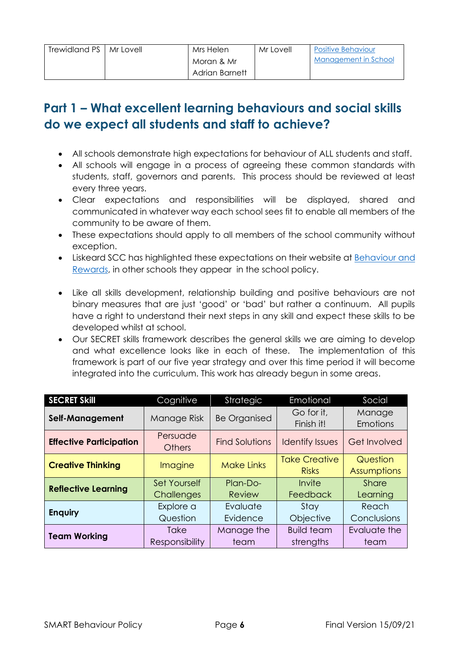| Trewidland PS   Mr Lovell | Mrs Helen      | Mr Lovell | <b>Positive Behaviour</b> |
|---------------------------|----------------|-----------|---------------------------|
|                           | Moran & Mr     |           | Management in School      |
|                           | Adrian Barnett |           |                           |

## <span id="page-5-0"></span>**Part 1 – What excellent learning behaviours and social skills do we expect all students and staff to achieve?**

- All schools demonstrate high expectations for behaviour of ALL students and staff.
- All schools will engage in a process of agreeing these common standards with students, staff, governors and parents. This process should be reviewed at least every three years.
- Clear expectations and responsibilities will be displayed, shared and communicated in whatever way each school sees fit to enable all members of the community to be aware of them.
- These expectations should apply to all members of the school community without exception.
- Liskeard SCC has highlighted these expectations on their website at [Behaviour and](https://www.liskeard.cornwall.sch.uk/parents-carers/behaviour-achievement)  [Rewards,](https://www.liskeard.cornwall.sch.uk/parents-carers/behaviour-achievement) in other schools they appear in the school policy.
- Like all skills development, relationship building and positive behaviours are not binary measures that are just 'good' or 'bad' but rather a continuum. All pupils have a right to understand their next steps in any skill and expect these skills to be developed whilst at school.
- Our SECRET skills framework describes the general skills we are aiming to develop and what excellence looks like in each of these. The implementation of this framework is part of our five year strategy and over this time period it will become integrated into the curriculum. This work has already begun in some areas.

| <b>SECRET Skill</b>            | Cognitive                            | <b>Strategic</b>      | Emotional                            | Social                   |
|--------------------------------|--------------------------------------|-----------------------|--------------------------------------|--------------------------|
| Self-Management                | Manage Risk                          | <b>Be Organised</b>   | Go for it,<br>Finish it!             | Manage<br>Emotions       |
| <b>Effective Participation</b> | Persuade<br><b>Others</b>            | <b>Find Solutions</b> | <b>Identify Issues</b>               | <b>Get Involved</b>      |
| <b>Creative Thinking</b>       | Imagine                              | <b>Make Links</b>     | <b>Take Creative</b><br><b>Risks</b> | Question<br>Assumptions  |
| <b>Reflective Learning</b>     | <b>Set Yourself</b><br>Challenges    | Plan-Do-<br>Review    | Invite<br>Feedback                   | <b>Share</b><br>Learning |
| <b>Enquiry</b>                 | Explore a<br>Question                | Evaluate<br>Evidence  | Stay<br>Objective                    | Reach<br>Conclusions     |
| <b>Team Working</b>            | <b>Take</b><br><b>Responsibility</b> | Manage the<br>team    | <b>Build team</b><br>strengths       | Evaluate the<br>team     |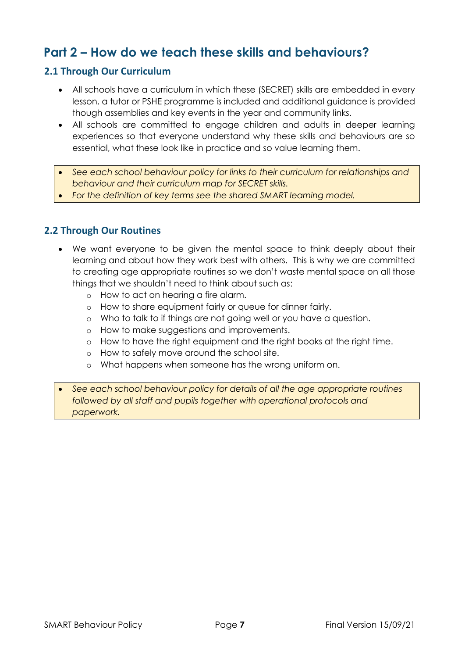## <span id="page-6-0"></span>**Part 2 – How do we teach these skills and behaviours?**

#### <span id="page-6-1"></span>**2.1 Through Our Curriculum**

- All schools have a curriculum in which these (SECRET) skills are embedded in every lesson, a tutor or PSHE programme is included and additional guidance is provided though assemblies and key events in the year and community links.
- All schools are committed to engage children and adults in deeper learning experiences so that everyone understand why these skills and behaviours are so essential, what these look like in practice and so value learning them.
- *See each school behaviour policy for links to their curriculum for relationships and behaviour and their curriculum map for SECRET skills.*
- *For the definition of key terms see the shared SMART learning model.*

#### <span id="page-6-2"></span>**2.2 Through Our Routines**

- We want everyone to be given the mental space to think deeply about their learning and about how they work best with others. This is why we are committed to creating age appropriate routines so we don't waste mental space on all those things that we shouldn't need to think about such as:
	- o How to act on hearing a fire alarm.
	- o How to share equipment fairly or queue for dinner fairly.
	- o Who to talk to if things are not going well or you have a question.
	- o How to make suggestions and improvements.
	- o How to have the right equipment and the right books at the right time.
	- o How to safely move around the school site.
	- o What happens when someone has the wrong uniform on.
- *See each school behaviour policy for details of all the age appropriate routines followed by all staff and pupils together with operational protocols and paperwork.*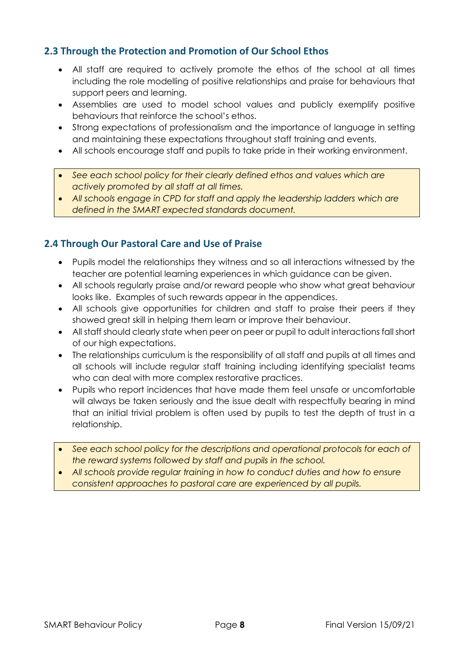#### <span id="page-7-0"></span>**2.3 Through the Protection and Promotion of Our School Ethos**

- All staff are required to actively promote the ethos of the school at all times including the role modelling of positive relationships and praise for behaviours that support peers and learning.
- Assemblies are used to model school values and publicly exemplify positive behaviours that reinforce the school's ethos.
- Strong expectations of professionalism and the importance of language in setting and maintaining these expectations throughout staff training and events.
- All schools encourage staff and pupils to take pride in their working environment.
- *See each school policy for their clearly defined ethos and values which are actively promoted by all staff at all times.*
- *All schools engage in CPD for staff and apply the leadership ladders which are defined in the SMART expected standards document.*

### <span id="page-7-1"></span>**2.4 Through Our Pastoral Care and Use of Praise**

- Pupils model the relationships they witness and so all interactions witnessed by the teacher are potential learning experiences in which guidance can be given.
- All schools regularly praise and/or reward people who show what great behaviour looks like. Examples of such rewards appear in the appendices.
- All schools give opportunities for children and staff to praise their peers if they showed great skill in helping them learn or improve their behaviour.
- All staff should clearly state when peer on peer or pupil to adult interactions fall short of our high expectations.
- The relationships curriculum is the responsibility of all staff and pupils at all times and all schools will include regular staff training including identifying specialist teams who can deal with more complex restorative practices.
- Pupils who report incidences that have made them feel unsafe or uncomfortable will always be taken seriously and the issue dealt with respectfully bearing in mind that an initial trivial problem is often used by pupils to test the depth of trust in a relationship.
- *See each school policy for the descriptions and operational protocols for each of the reward systems followed by staff and pupils in the school.*
- *All schools provide regular training in how to conduct duties and how to ensure consistent approaches to pastoral care are experienced by all pupils.*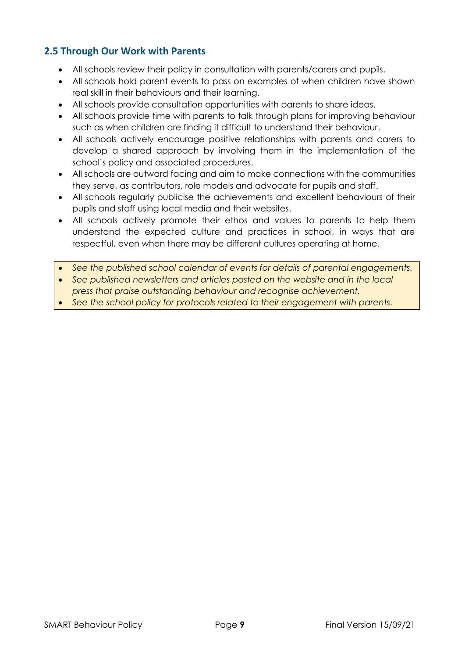#### <span id="page-8-0"></span>**2.5 Through Our Work with Parents**

- All schools review their policy in consultation with parents/carers and pupils.
- All schools hold parent events to pass on examples of when children have shown real skill in their behaviours and their learning.
- All schools provide consultation opportunities with parents to share ideas.
- All schools provide time with parents to talk through plans for improving behaviour such as when children are finding it difficult to understand their behaviour.
- All schools actively encourage positive relationships with parents and carers to develop a shared approach by involving them in the implementation of the school's policy and associated procedures.
- All schools are outward facing and aim to make connections with the communities they serve, as contributors, role models and advocate for pupils and staff.
- All schools regularly publicise the achievements and excellent behaviours of their pupils and staff using local media and their websites.
- All schools actively promote their ethos and values to parents to help them understand the expected culture and practices in school, in ways that are respectful, even when there may be different cultures operating at home.
- *See the published school calendar of events for details of parental engagements.*
- *See published newsletters and articles posted on the website and in the local press that praise outstanding behaviour and recognise achievement.*
- *See the school policy for protocols related to their engagement with parents.*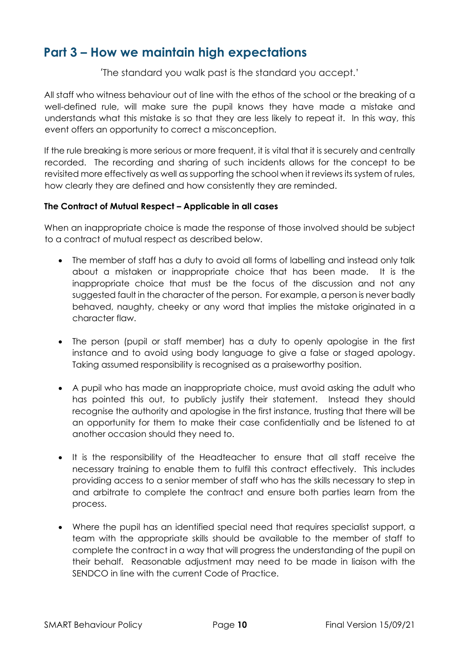## <span id="page-9-0"></span>**Part 3 – How we maintain high expectations**

'The standard you walk past is the standard you accept.'

All staff who witness behaviour out of line with the ethos of the school or the breaking of a well-defined rule, will make sure the pupil knows they have made a mistake and understands what this mistake is so that they are less likely to repeat it. In this way, this event offers an opportunity to correct a misconception.

If the rule breaking is more serious or more frequent, it is vital that it is securely and centrally recorded. The recording and sharing of such incidents allows for the concept to be revisited more effectively as well as supporting the school when it reviews its system of rules, how clearly they are defined and how consistently they are reminded.

#### **The Contract of Mutual Respect – Applicable in all cases**

When an inappropriate choice is made the response of those involved should be subject to a contract of mutual respect as described below.

- The member of staff has a duty to avoid all forms of labelling and instead only talk about a mistaken or inappropriate choice that has been made. It is the inappropriate choice that must be the focus of the discussion and not any suggested fault in the character of the person. For example, a person is never badly behaved, naughty, cheeky or any word that implies the mistake originated in a character flaw.
- The person (pupil or staff member) has a duty to openly apologise in the first instance and to avoid using body language to give a false or staged apology. Taking assumed responsibility is recognised as a praiseworthy position.
- A pupil who has made an inappropriate choice, must avoid asking the adult who has pointed this out, to publicly justify their statement. Instead they should recognise the authority and apologise in the first instance, trusting that there will be an opportunity for them to make their case confidentially and be listened to at another occasion should they need to.
- It is the responsibility of the Headteacher to ensure that all staff receive the necessary training to enable them to fulfil this contract effectively. This includes providing access to a senior member of staff who has the skills necessary to step in and arbitrate to complete the contract and ensure both parties learn from the process.
- Where the pupil has an identified special need that requires specialist support, a team with the appropriate skills should be available to the member of staff to complete the contract in a way that will progress the understanding of the pupil on their behalf. Reasonable adjustment may need to be made in liaison with the SENDCO in line with the current Code of Practice.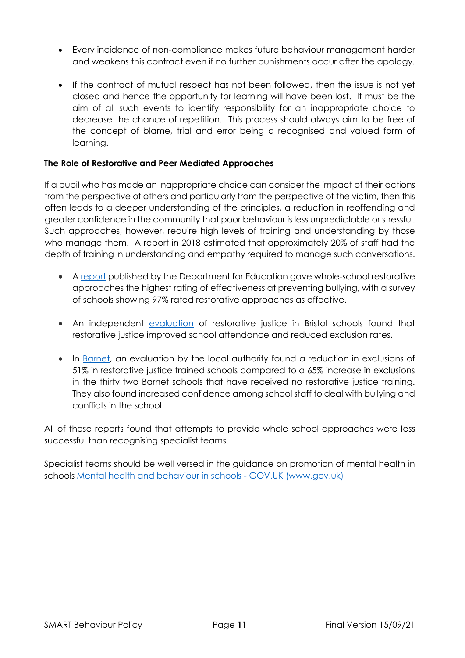- Every incidence of non-compliance makes future behaviour management harder and weakens this contract even if no further punishments occur after the apology.
- If the contract of mutual respect has not been followed, then the issue is not yet closed and hence the opportunity for learning will have been lost. It must be the aim of all such events to identify responsibility for an inappropriate choice to decrease the chance of repetition. This process should always aim to be free of the concept of blame, trial and error being a recognised and valued form of learning.

#### **The Role of Restorative and Peer Mediated Approaches**

If a pupil who has made an inappropriate choice can consider the impact of their actions from the perspective of others and particularly from the perspective of the victim, then this often leads to a deeper understanding of the principles, a reduction in reoffending and greater confidence in the community that poor behaviour is less unpredictable or stressful. Such approaches, however, require high levels of training and understanding by those who manage them. A report in 2018 estimated that approximately 20% of staff had the depth of training in understanding and empathy required to manage such conversations.

- A [report](https://www.gov.uk/government/uploads/system/uploads/attachment_data/file/182421/DFE-RR098.pdf) published by the Department for Education gave whole-school restorative approaches the highest rating of effectiveness at preventing bullying, with a survey of schools showing 97% rated restorative approaches as effective.
- An independent [evaluation](https://restorativejustice.org.uk/resources/restorative-approaches-schools-bristol-rais-evaluation) of restorative justice in Bristol schools found that restorative justice improved school attendance and reduced exclusion rates.
- In [Barnet,](https://restorativejustice.org.uk/resources/restorative-approaches-primary-schools-evaluation-project-co-ordinated-barnet-youth) an evaluation by the local authority found a reduction in exclusions of 51% in restorative justice trained schools compared to a 65% increase in exclusions in the thirty two Barnet schools that have received no restorative justice training. They also found increased confidence among school staff to deal with bullying and conflicts in the school.

All of these reports found that attempts to provide whole school approaches were less successful than recognising specialist teams.

Specialist teams should be well versed in the guidance on promotion of mental health in schools [Mental health and behaviour in schools -](https://www.gov.uk/government/publications/mental-health-and-behaviour-in-schools--2) GOV.UK (www.gov.uk)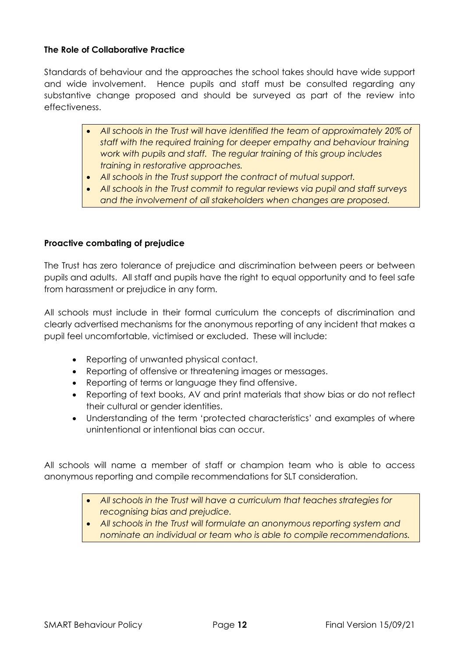#### **The Role of Collaborative Practice**

Standards of behaviour and the approaches the school takes should have wide support and wide involvement. Hence pupils and staff must be consulted regarding any substantive change proposed and should be surveyed as part of the review into effectiveness.

- *All schools in the Trust will have identified the team of approximately 20% of staff with the required training for deeper empathy and behaviour training work with pupils and staff. The regular training of this group includes training in restorative approaches.*
- *All schools in the Trust support the contract of mutual support.*
- *All schools in the Trust commit to regular reviews via pupil and staff surveys and the involvement of all stakeholders when changes are proposed.*

#### **Proactive combating of prejudice**

The Trust has zero tolerance of prejudice and discrimination between peers or between pupils and adults. All staff and pupils have the right to equal opportunity and to feel safe from harassment or prejudice in any form.

All schools must include in their formal curriculum the concepts of discrimination and clearly advertised mechanisms for the anonymous reporting of any incident that makes a pupil feel uncomfortable, victimised or excluded. These will include:

- Reporting of unwanted physical contact.
- Reporting of offensive or threatening images or messages.
- Reporting of terms or language they find offensive.
- Reporting of text books, AV and print materials that show bias or do not reflect their cultural or gender identities.
- Understanding of the term 'protected characteristics' and examples of where unintentional or intentional bias can occur.

All schools will name a member of staff or champion team who is able to access anonymous reporting and compile recommendations for SLT consideration.

- *All schools in the Trust will have a curriculum that teaches strategies for recognising bias and prejudice.*
- *All schools in the Trust will formulate an anonymous reporting system and nominate an individual or team who is able to compile recommendations.*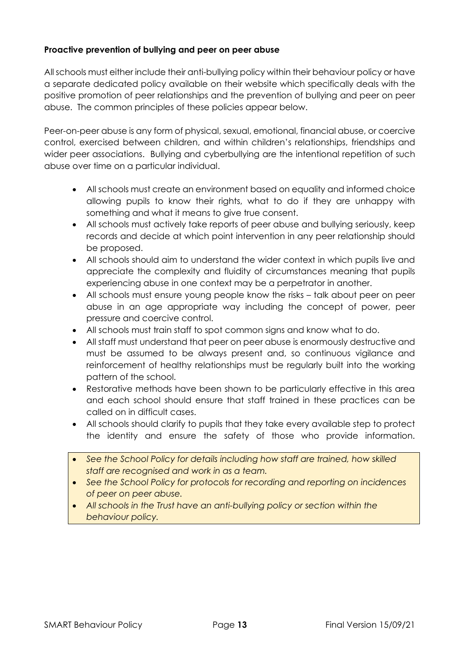#### **Proactive prevention of bullying and peer on peer abuse**

All schools must either include their anti-bullying policy within their behaviour policy or have a separate dedicated policy available on their website which specifically deals with the positive promotion of peer relationships and the prevention of bullying and peer on peer abuse. The common principles of these policies appear below.

Peer-on-peer abuse is any form of physical, sexual, emotional, financial abuse, or coercive control, exercised between children, and within children's relationships, friendships and wider peer associations. Bullying and cyberbullying are the intentional repetition of such abuse over time on a particular individual.

- All schools must create an environment based on equality and informed choice allowing pupils to know their rights, what to do if they are unhappy with something and what it means to give true consent.
- All schools must actively take reports of peer abuse and bullying seriously, keep records and decide at which point intervention in any peer relationship should be proposed.
- All schools should aim to understand the wider context in which pupils live and appreciate the complexity and fluidity of circumstances meaning that pupils experiencing abuse in one context may be a perpetrator in another.
- All schools must ensure young people know the risks talk about peer on peer abuse in an age appropriate way including the concept of power, peer pressure and coercive control.
- All schools must train staff to spot common signs and know what to do.
- All staff must understand that peer on peer abuse is enormously destructive and must be assumed to be always present and, so continuous vigilance and reinforcement of healthy relationships must be regularly built into the working pattern of the school.
- Restorative methods have been shown to be particularly effective in this area and each school should ensure that staff trained in these practices can be called on in difficult cases.
- All schools should clarify to pupils that they take every available step to protect the identity and ensure the safety of those who provide information.
- *See the School Policy for details including how staff are trained, how skilled staff are recognised and work in as a team.*
- *See the School Policy for protocols for recording and reporting on incidences of peer on peer abuse.*
- All schools in the Trust have an anti-bullying policy or section within the *behaviour policy.*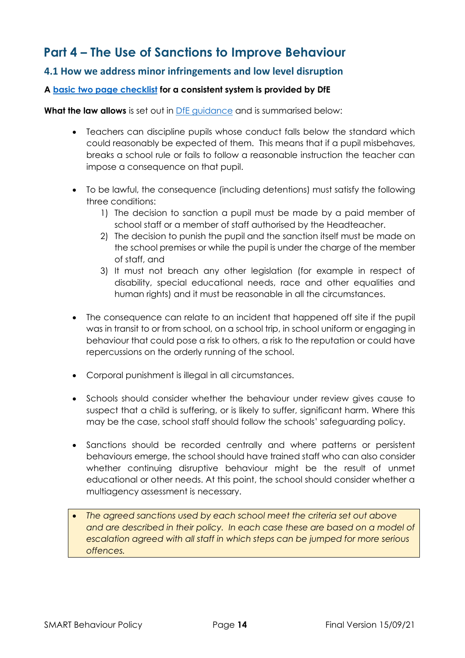## <span id="page-13-0"></span>**Part 4 – The Use of Sanctions to Improve Behaviour**

#### <span id="page-13-1"></span>**4.1 How we address minor infringements and low level disruption**

#### **A [basic two page checklist](https://assets.publishing.service.gov.uk/government/uploads/system/uploads/attachment_data/file/571640/Getting_the_simple_things_right_Charlie_Taylor_s_behaviour_checklists.pdf) for a consistent system is provided by DfE**

**What the law allows** is set out in [DfE guidance](https://assets.publishing.service.gov.uk/government/uploads/system/uploads/attachment_data/file/488034/Behaviour_and_Discipline_in_Schools_-_A_guide_for_headteachers_and_School_Staff.pdf) and is summarised below:

- Teachers can discipline pupils whose conduct falls below the standard which could reasonably be expected of them. This means that if a pupil misbehaves, breaks a school rule or fails to follow a reasonable instruction the teacher can impose a consequence on that pupil.
- To be lawful, the consequence (including detentions) must satisfy the following three conditions:
	- 1) The decision to sanction a pupil must be made by a paid member of school staff or a member of staff authorised by the Headteacher.
	- 2) The decision to punish the pupil and the sanction itself must be made on the school premises or while the pupil is under the charge of the member of staff, and
	- 3) It must not breach any other legislation (for example in respect of disability, special educational needs, race and other equalities and human rights) and it must be reasonable in all the circumstances.
- The consequence can relate to an incident that happened off site if the pupil was in transit to or from school, on a school trip, in school uniform or engaging in behaviour that could pose a risk to others, a risk to the reputation or could have repercussions on the orderly running of the school.
- Corporal punishment is illegal in all circumstances.
- Schools should consider whether the behaviour under review gives cause to suspect that a child is suffering, or is likely to suffer, significant harm. Where this may be the case, school staff should follow the schools' safeguarding policy.
- Sanctions should be recorded centrally and where patterns or persistent behaviours emerge, the school should have trained staff who can also consider whether continuing disruptive behaviour might be the result of unmet educational or other needs. At this point, the school should consider whether a multiagency assessment is necessary.
- *The agreed sanctions used by each school meet the criteria set out above and are described in their policy. In each case these are based on a model of escalation agreed with all staff in which steps can be jumped for more serious offences.*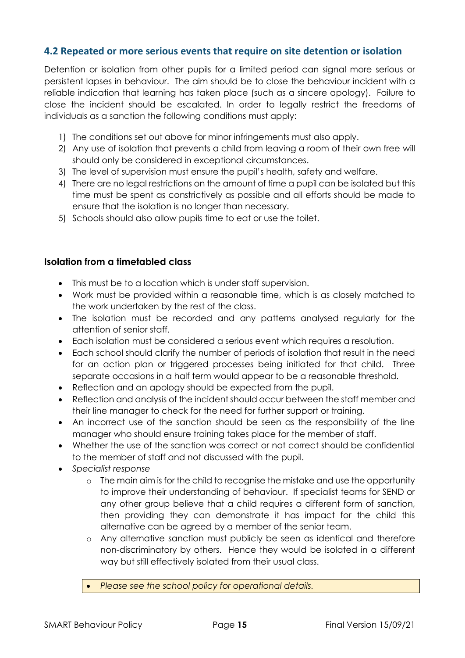#### <span id="page-14-0"></span>**4.2 Repeated or more serious events that require on site detention or isolation**

Detention or isolation from other pupils for a limited period can signal more serious or persistent lapses in behaviour. The aim should be to close the behaviour incident with a reliable indication that learning has taken place (such as a sincere apology). Failure to close the incident should be escalated. In order to legally restrict the freedoms of individuals as a sanction the following conditions must apply:

- 1) The conditions set out above for minor infringements must also apply.
- 2) Any use of isolation that prevents a child from leaving a room of their own free will should only be considered in exceptional circumstances.
- 3) The level of supervision must ensure the pupil's health, safety and welfare.
- 4) There are no legal restrictions on the amount of time a pupil can be isolated but this time must be spent as constrictively as possible and all efforts should be made to ensure that the isolation is no longer than necessary.
- 5) Schools should also allow pupils time to eat or use the toilet.

#### **Isolation from a timetabled class**

- This must be to a location which is under staff supervision.
- Work must be provided within a reasonable time, which is as closely matched to the work undertaken by the rest of the class.
- The isolation must be recorded and any patterns analysed regularly for the attention of senior staff.
- Each isolation must be considered a serious event which requires a resolution.
- Each school should clarify the number of periods of isolation that result in the need for an action plan or triggered processes being initiated for that child. Three separate occasions in a half term would appear to be a reasonable threshold.
- Reflection and an apology should be expected from the pupil.
- Reflection and analysis of the incident should occur between the staff member and their line manager to check for the need for further support or training.
- An incorrect use of the sanction should be seen as the responsibility of the line manager who should ensure training takes place for the member of staff.
- Whether the use of the sanction was correct or not correct should be confidential to the member of staff and not discussed with the pupil.
- *Specialist response*
	- o The main aim is for the child to recognise the mistake and use the opportunity to improve their understanding of behaviour. If specialist teams for SEND or any other group believe that a child requires a different form of sanction, then providing they can demonstrate it has impact for the child this alternative can be agreed by a member of the senior team.
	- o Any alternative sanction must publicly be seen as identical and therefore non-discriminatory by others. Hence they would be isolated in a different way but still effectively isolated from their usual class.
	- *Please see the school policy for operational details.*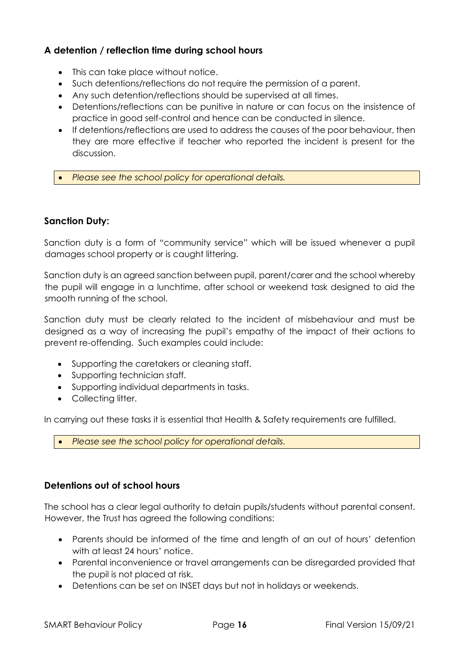#### **A detention / reflection time during school hours**

- This can take place without notice.
- Such detentions/reflections do not require the permission of a parent.
- Any such detention/reflections should be supervised at all times.
- Detentions/reflections can be punitive in nature or can focus on the insistence of practice in good self-control and hence can be conducted in silence.
- If detentions/reflections are used to address the causes of the poor behaviour, then they are more effective if teacher who reported the incident is present for the discussion.
- *Please see the school policy for operational details.*

#### **Sanction Duty:**

Sanction duty is a form of "community service" which will be issued whenever a pupil damages school property or is caught littering.

Sanction duty is an agreed sanction between pupil, parent/carer and the school whereby the pupil will engage in a lunchtime, after school or weekend task designed to aid the smooth running of the school.

Sanction duty must be clearly related to the incident of misbehaviour and must be designed as a way of increasing the pupil's empathy of the impact of their actions to prevent re-offending. Such examples could include:

- Supporting the caretakers or cleaning staff.
- Supporting technician staff.
- Supporting individual departments in tasks.
- Collecting litter.

In carrying out these tasks it is essential that Health & Safety requirements are fulfilled.

• *Please see the school policy for operational details.*

#### **Detentions out of school hours**

The school has a clear legal authority to detain pupils/students without parental consent. However, the Trust has agreed the following conditions:

- Parents should be informed of the time and length of an out of hours' detention with at least 24 hours' notice.
- Parental inconvenience or travel arrangements can be disregarded provided that the pupil is not placed at risk.
- Detentions can be set on INSET days but not in holidays or weekends.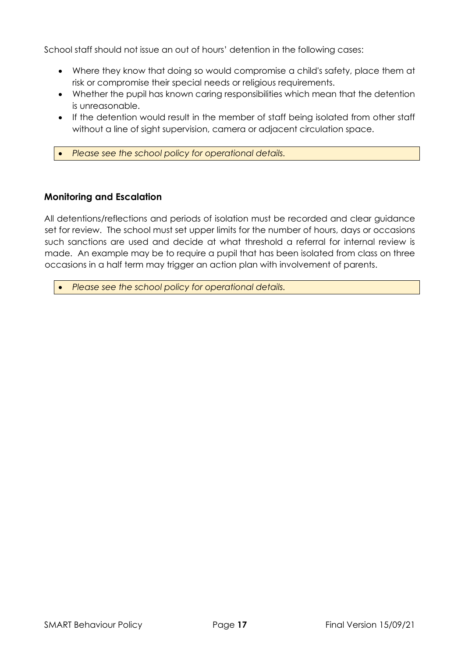School staff should not issue an out of hours' detention in the following cases:

- Where they know that doing so would compromise a child's safety, place them at risk or compromise their special needs or religious requirements.
- Whether the pupil has known caring responsibilities which mean that the detention is unreasonable.
- If the detention would result in the member of staff being isolated from other staff without a line of sight supervision, camera or adjacent circulation space.
- *Please see the school policy for operational details.*

#### **Monitoring and Escalation**

All detentions/reflections and periods of isolation must be recorded and clear guidance set for review. The school must set upper limits for the number of hours, days or occasions such sanctions are used and decide at what threshold a referral for internal review is made. An example may be to require a pupil that has been isolated from class on three occasions in a half term may trigger an action plan with involvement of parents.

• *Please see the school policy for operational details.*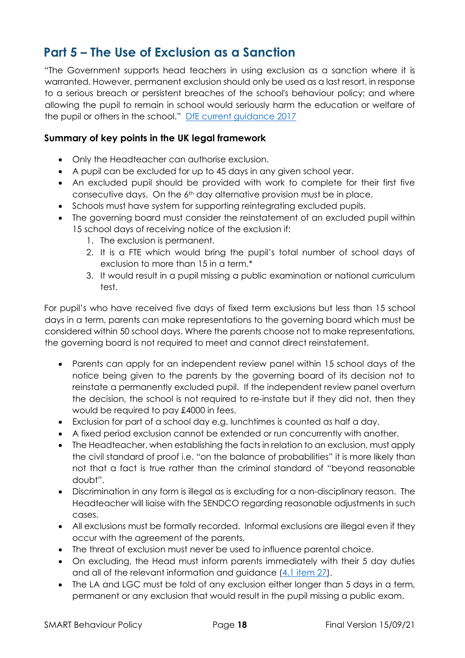## <span id="page-17-0"></span>**Part 5 – The Use of Exclusion as a Sanction**

"The Government supports head teachers in using exclusion as a sanction where it is warranted. However, permanent exclusion should only be used as a last resort, in response to a serious breach or persistent breaches of the school's behaviour policy; and where allowing the pupil to remain in school would seriously harm the education or welfare of the pupil or others in the school." [DfE current guidance 2017](https://assets.publishing.service.gov.uk/government/uploads/system/uploads/attachment_data/file/921405/20170831_Exclusion_Stat_guidance_Web_version.pdf)

#### **Summary of key points in the UK legal framework**

- Only the Headteacher can authorise exclusion.
- A pupil can be excluded for up to 45 days in any given school year.
- An excluded pupil should be provided with work to complete for their first five consecutive days. On the  $6<sup>th</sup>$  day alternative provision must be in place.
- Schools must have system for supporting reintegrating excluded pupils.
- The governing board must consider the reinstatement of an excluded pupil within 15 school days of receiving notice of the exclusion if:
	- 1. The exclusion is permanent.
	- 2. It is a FTE which would bring the pupil's total number of school days of exclusion to more than 15 in a term.\*
	- 3. It would result in a pupil missing a public examination or national curriculum test.

For pupil's who have received five days of fixed term exclusions but less than 15 school days in a term, parents can make representations to the governing board which must be considered within 50 school days. Where the parents choose not to make representations, the governing board is not required to meet and cannot direct reinstatement.

- Parents can apply for an independent review panel within 15 school days of the notice being given to the parents by the governing board of its decision not to reinstate a permanently excluded pupil. If the independent review panel overturn the decision, the school is not required to re-instate but if they did not, then they would be required to pay £4000 in fees.
- Exclusion for part of a school day e.g. lunchtimes is counted as half a day.
- A fixed period exclusion cannot be extended or run concurrently with another.
- The Headteacher, when establishing the facts in relation to an exclusion, must apply the civil standard of proof i.e. "on the balance of probabilities" it is more likely than not that a fact is true rather than the criminal standard of "beyond reasonable doubt".
- Discrimination in any form is illegal as is excluding for a non-disciplinary reason. The Headteacher will liaise with the SENDCO regarding reasonable adjustments in such cases.
- All exclusions must be formally recorded. Informal exclusions are illegal even if they occur with the agreement of the parents.
- The threat of exclusion must never be used to influence parental choice.
- On excluding, the Head must inform parents immediately with their 5 day duties and all of the relevant information and guidance [\(4.1 item 27\)](https://assets.publishing.service.gov.uk/government/uploads/system/uploads/attachment_data/file/921405/20170831_Exclusion_Stat_guidance_Web_version.pdf).
- The LA and LGC must be told of any exclusion either longer than 5 days in a term, permanent or any exclusion that would result in the pupil missing a public exam.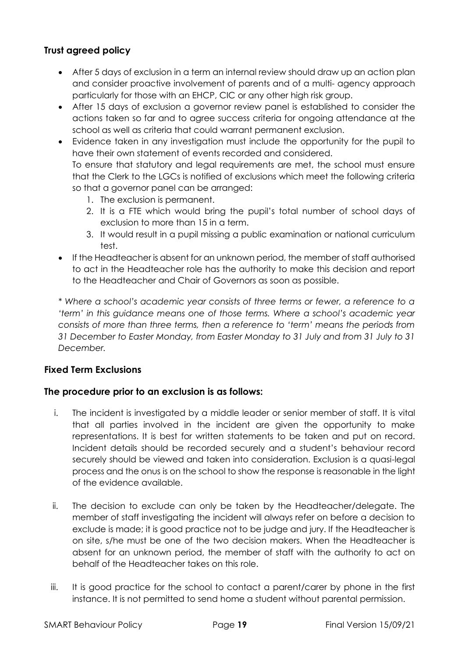#### **Trust agreed policy**

- After 5 days of exclusion in a term an internal review should draw up an action plan and consider proactive involvement of parents and of a multi- agency approach particularly for those with an EHCP, CIC or any other high risk group.
- After 15 days of exclusion a governor review panel is established to consider the actions taken so far and to agree success criteria for ongoing attendance at the school as well as criteria that could warrant permanent exclusion.
- Evidence taken in any investigation must include the opportunity for the pupil to have their own statement of events recorded and considered.

To ensure that statutory and legal requirements are met, the school must ensure that the Clerk to the LGCs is notified of exclusions which meet the following criteria so that a governor panel can be arranged:

- 1. The exclusion is permanent.
- 2. It is a FTE which would bring the pupil's total number of school days of exclusion to more than 15 in a term.
- 3. It would result in a pupil missing a public examination or national curriculum test.
- If the Headteacher is absent for an unknown period, the member of staff authorised to act in the Headteacher role has the authority to make this decision and report to the Headteacher and Chair of Governors as soon as possible.

*\* Where a school's academic year consists of three terms or fewer, a reference to a 'term' in this guidance means one of those terms. Where a school's academic year consists of more than three terms, then a reference to 'term' means the periods from 31 December to Easter Monday, from Easter Monday to 31 July and from 31 July to 31 December.*

#### **Fixed Term Exclusions**

#### **The procedure prior to an exclusion is as follows:**

- i. The incident is investigated by a middle leader or senior member of staff. It is vital that all parties involved in the incident are given the opportunity to make representations. It is best for written statements to be taken and put on record. Incident details should be recorded securely and a student's behaviour record securely should be viewed and taken into consideration. Exclusion is a quasi-legal process and the onus is on the school to show the response is reasonable in the light of the evidence available.
- ii. The decision to exclude can only be taken by the Headteacher/delegate. The member of staff investigating the incident will always refer on before a decision to exclude is made; it is good practice not to be judge and jury. If the Headteacher is on site, s/he must be one of the two decision makers. When the Headteacher is absent for an unknown period, the member of staff with the authority to act on behalf of the Headteacher takes on this role.
- iii. It is good practice for the school to contact a parent/carer by phone in the first instance. It is not permitted to send home a student without parental permission.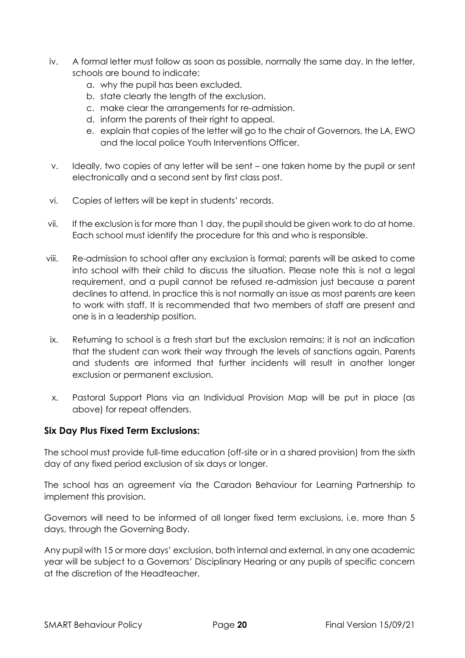- iv. A formal letter must follow as soon as possible, normally the same day. In the letter, schools are bound to indicate:
	- a. why the pupil has been excluded.
	- b. state clearly the length of the exclusion.
	- c. make clear the arrangements for re-admission.
	- d. inform the parents of their right to appeal.
	- e. explain that copies of the letter will go to the chair of Governors, the LA, EWO and the local police Youth Interventions Officer.
- v. Ideally, two copies of any letter will be sent one taken home by the pupil or sent electronically and a second sent by first class post.
- vi. Copies of letters will be kept in students' records.
- vii. If the exclusion is for more than 1 day, the pupil should be given work to do at home. Each school must identify the procedure for this and who is responsible.
- viii. Re-admission to school after any exclusion is formal; parents will be asked to come into school with their child to discuss the situation. Please note this is not a legal requirement, and a pupil cannot be refused re-admission just because a parent declines to attend. In practice this is not normally an issue as most parents are keen to work with staff. It is recommended that two members of staff are present and one is in a leadership position.
- ix. Returning to school is a fresh start but the exclusion remains; it is not an indication that the student can work their way through the levels of sanctions again. Parents and students are informed that further incidents will result in another longer exclusion or permanent exclusion.
- x. Pastoral Support Plans via an Individual Provision Map will be put in place (as above) for repeat offenders.

#### **Six Day Plus Fixed Term Exclusions:**

The school must provide full-time education (off-site or in a shared provision) from the sixth day of any fixed period exclusion of six days or longer.

The school has an agreement via the Caradon Behaviour for Learning Partnership to implement this provision.

Governors will need to be informed of all longer fixed term exclusions, i.e. more than 5 days, through the Governing Body.

Any pupil with 15 or more days' exclusion, both internal and external, in any one academic year will be subject to a Governors' Disciplinary Hearing or any pupils of specific concern at the discretion of the Headteacher.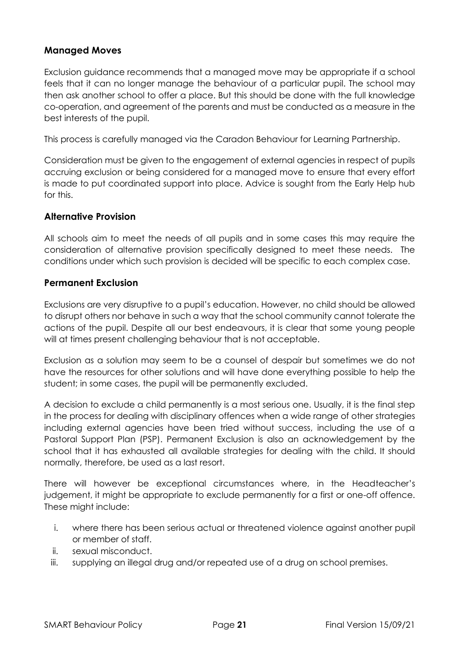#### **Managed Moves**

Exclusion guidance recommends that a managed move may be appropriate if a school feels that it can no longer manage the behaviour of a particular pupil. The school may then ask another school to offer a place. But this should be done with the full knowledge co-operation, and agreement of the parents and must be conducted as a measure in the best interests of the pupil.

This process is carefully managed via the Caradon Behaviour for Learning Partnership.

Consideration must be given to the engagement of external agencies in respect of pupils accruing exclusion or being considered for a managed move to ensure that every effort is made to put coordinated support into place. Advice is sought from the Early Help hub for this.

#### **Alternative Provision**

All schools aim to meet the needs of all pupils and in some cases this may require the consideration of alternative provision specifically designed to meet these needs. The conditions under which such provision is decided will be specific to each complex case.

#### **Permanent Exclusion**

Exclusions are very disruptive to a pupil's education. However, no child should be allowed to disrupt others nor behave in such a way that the school community cannot tolerate the actions of the pupil. Despite all our best endeavours, it is clear that some young people will at times present challenging behaviour that is not acceptable.

Exclusion as a solution may seem to be a counsel of despair but sometimes we do not have the resources for other solutions and will have done everything possible to help the student; in some cases, the pupil will be permanently excluded.

A decision to exclude a child permanently is a most serious one. Usually, it is the final step in the process for dealing with disciplinary offences when a wide range of other strategies including external agencies have been tried without success, including the use of a Pastoral Support Plan (PSP). Permanent Exclusion is also an acknowledgement by the school that it has exhausted all available strategies for dealing with the child. It should normally, therefore, be used as a last resort.

There will however be exceptional circumstances where, in the Headteacher's judgement, it might be appropriate to exclude permanently for a first or one-off offence. These might include:

- i. where there has been serious actual or threatened violence against another pupil or member of staff.
- ii. sexual misconduct.
- iii. supplying an illegal drug and/or repeated use of a drug on school premises.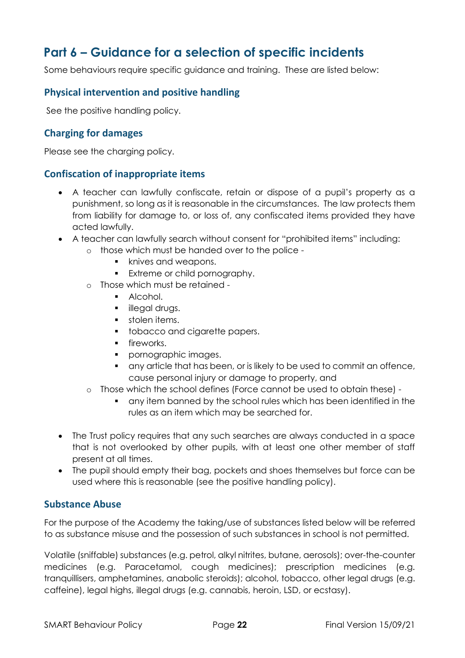## <span id="page-21-0"></span>**Part 6 – Guidance for a selection of specific incidents**

Some behaviours require specific guidance and training. These are listed below:

#### <span id="page-21-1"></span>**Physical intervention and positive handling**

See the positive handling policy.

#### <span id="page-21-2"></span>**Charging for damages**

Please see the charging policy.

#### <span id="page-21-3"></span>**Confiscation of inappropriate items**

- A teacher can lawfully confiscate, retain or dispose of a pupil's property as a punishment, so long as it is reasonable in the circumstances. The law protects them from liability for damage to, or loss of, any confiscated items provided they have acted lawfully.
- A teacher can lawfully search without consent for "prohibited items" including:
	- o those which must be handed over to the police
		- knives and weapons.
		- **Extreme or child pornography.**
	- o Those which must be retained
		- Alcohol.
		- **·** illegal drugs.
		- **•** stolen items.
		- tobacco and cigarette papers.
		- **•** fireworks.
		- pornographic images.
		- any article that has been, or is likely to be used to commit an offence, cause personal injury or damage to property, and
	- o Those which the school defines (Force cannot be used to obtain these)
		- any item banned by the school rules which has been identified in the rules as an item which may be searched for.
- The Trust policy requires that any such searches are always conducted in a space that is not overlooked by other pupils, with at least one other member of staff present at all times.
- The pupil should empty their bag, pockets and shoes themselves but force can be used where this is reasonable (see the positive handling policy).

#### <span id="page-21-4"></span>**Substance Abuse**

For the purpose of the Academy the taking/use of substances listed below will be referred to as substance misuse and the possession of such substances in school is not permitted.

Volatile (sniffable) substances (e.g. petrol, alkyl nitrites, butane, aerosols); over-the-counter medicines (e.g. Paracetamol, cough medicines); prescription medicines (e.g. tranquillisers, amphetamines, anabolic steroids); alcohol, tobacco, other legal drugs (e.g. caffeine), legal highs, illegal drugs (e.g. cannabis, heroin, LSD, or ecstasy).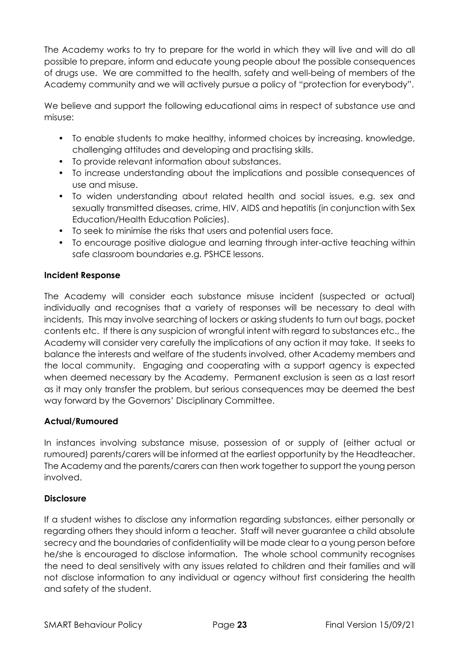The Academy works to try to prepare for the world in which they will live and will do all possible to prepare, inform and educate young people about the possible consequences of drugs use. We are committed to the health, safety and well-being of members of the Academy community and we will actively pursue a policy of "protection for everybody".

We believe and support the following educational aims in respect of substance use and misuse:

- To enable students to make healthy, informed choices by increasing. knowledge, challenging attitudes and developing and practising skills.
- To provide relevant information about substances.
- To increase understanding about the implications and possible consequences of use and misuse.
- To widen understanding about related health and social issues, e.g. sex and sexually transmitted diseases, crime, HIV, AIDS and hepatitis (in conjunction with Sex Education/Health Education Policies).
- To seek to minimise the risks that users and potential users face.
- To encourage positive dialogue and learning through inter-active teaching within safe classroom boundaries e.g. PSHCE lessons.

#### **Incident Response**

The Academy will consider each substance misuse incident (suspected or actual) individually and recognises that a variety of responses will be necessary to deal with incidents. This may involve searching of lockers or asking students to turn out bags, pocket contents etc. If there is any suspicion of wrongful intent with regard to substances etc., the Academy will consider very carefully the implications of any action it may take. It seeks to balance the interests and welfare of the students involved, other Academy members and the local community. Engaging and cooperating with a support agency is expected when deemed necessary by the Academy. Permanent exclusion is seen as a last resort as it may only transfer the problem, but serious consequences may be deemed the best way forward by the Governors' Disciplinary Committee.

#### **Actual/Rumoured**

In instances involving substance misuse, possession of or supply of (either actual or rumoured) parents/carers will be informed at the earliest opportunity by the Headteacher. The Academy and the parents/carers can then work together to support the young person involved.

#### **Disclosure**

If a student wishes to disclose any information regarding substances, either personally or regarding others they should inform a teacher. Staff will never guarantee a child absolute secrecy and the boundaries of confidentiality will be made clear to a young person before he/she is encouraged to disclose information. The whole school community recognises the need to deal sensitively with any issues related to children and their families and will not disclose information to any individual or agency without first considering the health and safety of the student.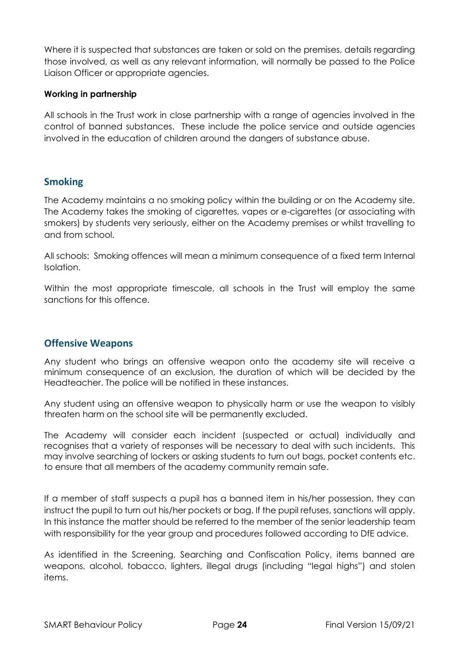Where it is suspected that substances are taken or sold on the premises, details regarding those involved, as well as any relevant information, will normally be passed to the Police Liaison Officer or appropriate agencies.

#### **Working in partnership**

All schools in the Trust work in close partnership with a range of agencies involved in the control of banned substances. These include the police service and outside agencies involved in the education of children around the dangers of substance abuse.

#### <span id="page-23-0"></span>**Smoking**

The Academy maintains a no smoking policy within the building or on the Academy site. The Academy takes the smoking of cigarettes, vapes or e-cigarettes (or associating with smokers) by students very seriously, either on the Academy premises or whilst travelling to and from school.

All schools: Smoking offences will mean a minimum consequence of a fixed term Internal Isolation.

Within the most appropriate timescale, all schools in the Trust will employ the same sanctions for this offence.

#### <span id="page-23-1"></span>**Offensive Weapons**

Any student who brings an offensive weapon onto the academy site will receive a minimum consequence of an exclusion, the duration of which will be decided by the Headteacher. The police will be notified in these instances.

Any student using an offensive weapon to physically harm or use the weapon to visibly threaten harm on the school site will be permanently excluded.

The Academy will consider each incident (suspected or actual) individually and recognises that a variety of responses will be necessary to deal with such incidents. This may involve searching of lockers or asking students to turn out bags, pocket contents etc. to ensure that all members of the academy community remain safe.

If a member of staff suspects a pupil has a banned item in his/her possession, they can instruct the pupil to turn out his/her pockets or bag. If the pupil refuses, sanctions will apply. In this instance the matter should be referred to the member of the senior leadership team with responsibility for the year group and procedures followed according to DfE advice.

As identified in the Screening, Searching and Confiscation Policy, items banned are weapons, alcohol, tobacco, lighters, illegal drugs (including "legal highs") and stolen items.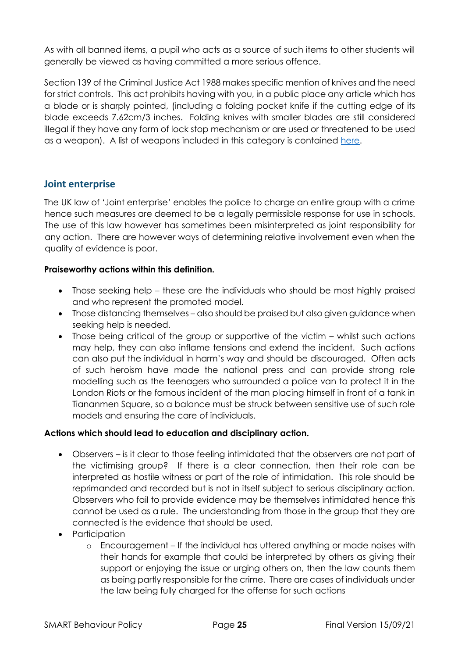As with all banned items, a pupil who acts as a source of such items to other students will generally be viewed as having committed a more serious offence.

Section 139 of the Criminal Justice Act 1988 makes specific mention of knives and the need for strict controls. This act prohibits having with you, in a public place any article which has a blade or is sharply pointed, (including a folding pocket knife if the cutting edge of its blade exceeds 7.62cm/3 inches. Folding knives with smaller blades are still considered illegal if they have any form of lock stop mechanism or are used or threatened to be used as a weapon). A list of weapons included in this category is contained [here.](https://www.gov.uk/buying-carrying-knives)

#### <span id="page-24-0"></span>**Joint enterprise**

The UK law of 'Joint enterprise' enables the police to charge an entire group with a crime hence such measures are deemed to be a legally permissible response for use in schools. The use of this law however has sometimes been misinterpreted as joint responsibility for any action. There are however ways of determining relative involvement even when the quality of evidence is poor.

#### **Praiseworthy actions within this definition.**

- Those seeking help these are the individuals who should be most highly praised and who represent the promoted model.
- Those distancing themselves also should be praised but also given guidance when seeking help is needed.
- Those being critical of the group or supportive of the victim whilst such actions may help, they can also inflame tensions and extend the incident. Such actions can also put the individual in harm's way and should be discouraged. Often acts of such heroism have made the national press and can provide strong role modelling such as the teenagers who surrounded a police van to protect it in the London Riots or the famous incident of the man placing himself in front of a tank in Tiananmen Square, so a balance must be struck between sensitive use of such role models and ensuring the care of individuals.

#### **Actions which should lead to education and disciplinary action.**

- Observers is it clear to those feeling intimidated that the observers are not part of the victimising group? If there is a clear connection, then their role can be interpreted as hostile witness or part of the role of intimidation. This role should be reprimanded and recorded but is not in itself subject to serious disciplinary action. Observers who fail to provide evidence may be themselves intimidated hence this cannot be used as a rule. The understanding from those in the group that they are connected is the evidence that should be used.
- Participation
	- o Encouragement If the individual has uttered anything or made noises with their hands for example that could be interpreted by others as giving their support or enjoying the issue or urging others on, then the law counts them as being partly responsible for the crime. There are cases of individuals under the law being fully charged for the offense for such actions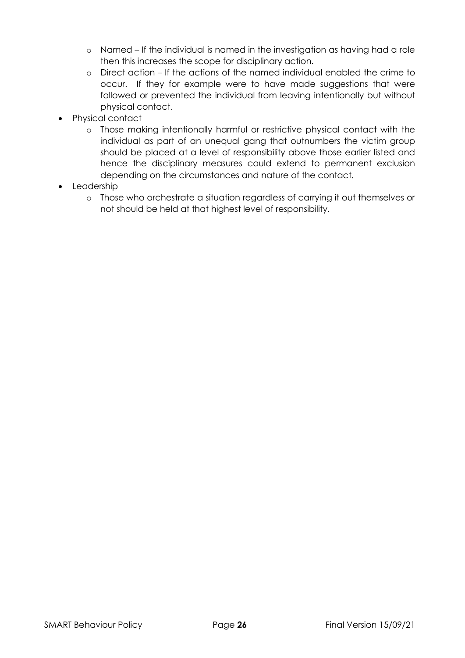- o Named If the individual is named in the investigation as having had a role then this increases the scope for disciplinary action.
- o Direct action If the actions of the named individual enabled the crime to occur. If they for example were to have made suggestions that were followed or prevented the individual from leaving intentionally but without physical contact.
- Physical contact
	- o Those making intentionally harmful or restrictive physical contact with the individual as part of an unequal gang that outnumbers the victim group should be placed at a level of responsibility above those earlier listed and hence the disciplinary measures could extend to permanent exclusion depending on the circumstances and nature of the contact.
- Leadership
	- o Those who orchestrate a situation regardless of carrying it out themselves or not should be held at that highest level of responsibility.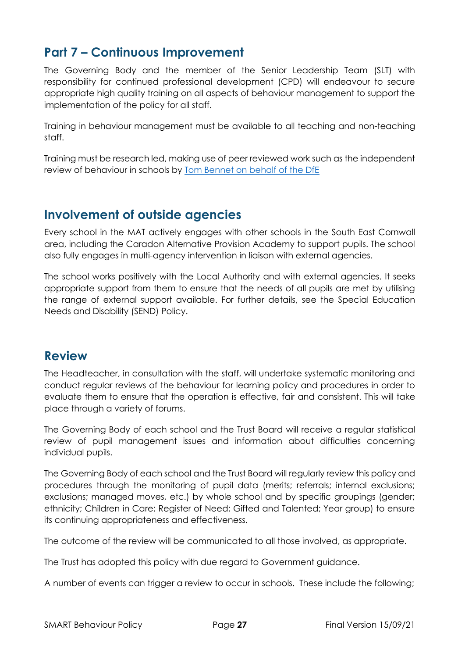## <span id="page-26-0"></span>**Part 7 – Continuous Improvement**

The Governing Body and the member of the Senior Leadership Team (SLT) with responsibility for continued professional development (CPD) will endeavour to secure appropriate high quality training on all aspects of behaviour management to support the implementation of the policy for all staff.

Training in behaviour management must be available to all teaching and non-teaching staff.

Training must be research led, making use of peer reviewed work such as the independent review of behaviour in schools by [Tom Bennet on behalf of the DfE](https://assets.publishing.service.gov.uk/government/uploads/system/uploads/attachment_data/file/602487/Tom_Bennett_Independent_Review_of_Behaviour_in_Schools.pdf)

## <span id="page-26-1"></span>**Involvement of outside agencies**

Every school in the MAT actively engages with other schools in the South East Cornwall area, including the Caradon Alternative Provision Academy to support pupils. The school also fully engages in multi-agency intervention in liaison with external agencies.

The school works positively with the Local Authority and with external agencies. It seeks appropriate support from them to ensure that the needs of all pupils are met by utilising the range of external support available. For further details, see the Special Education Needs and Disability (SEND) Policy.

### <span id="page-26-2"></span>**Review**

The Headteacher, in consultation with the staff, will undertake systematic monitoring and conduct regular reviews of the behaviour for learning policy and procedures in order to evaluate them to ensure that the operation is effective, fair and consistent. This will take place through a variety of forums.

The Governing Body of each school and the Trust Board will receive a regular statistical review of pupil management issues and information about difficulties concerning individual pupils.

The Governing Body of each school and the Trust Board will regularly review this policy and procedures through the monitoring of pupil data (merits; referrals; internal exclusions; exclusions; managed moves, etc.) by whole school and by specific groupings (gender; ethnicity; Children in Care; Register of Need; Gifted and Talented; Year group) to ensure its continuing appropriateness and effectiveness.

The outcome of the review will be communicated to all those involved, as appropriate.

The Trust has adopted this policy with due regard to Government guidance.

A number of events can trigger a review to occur in schools. These include the following;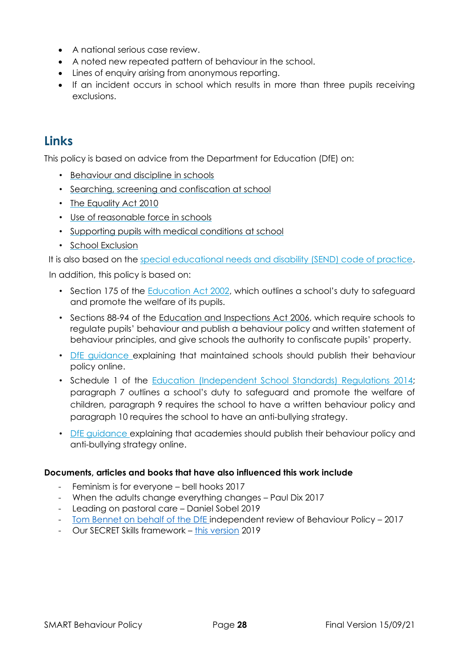- A national serious case review.
- A noted new repeated pattern of behaviour in the school.
- Lines of enquiry arising from anonymous reporting.
- If an incident occurs in school which results in more than three pupils receiving exclusions.

## <span id="page-27-0"></span>**Links**

This policy is based on advice from the Department for Education (DfE) on:

- [Behaviour and discipline in schools](https://www.gov.uk/government/publications/behaviour-and-discipline-in-schools)
- [Searching, screening and confiscation at school](https://www.gov.uk/government/publications/searching-screening-and-confiscation)
- [The Equality Act 2010](https://www.gov.uk/government/publications/equality-act-2010-advice-for-schools)
- [Use of reasonable force in schools](https://www.gov.uk/government/publications/use-of-reasonable-force-in-schools)
- [Supporting pupils with medical conditions at school](https://www.gov.uk/government/publications/supporting-pupils-at-school-with-medical-conditions--3)
- [School Exclusion](https://www.gov.uk/government/publications/school-exclusion)

It is also based on the [special educational needs and disability \(SEND\) code of practice.](https://www.gov.uk/government/publications/send-code-of-practice-0-to-25)

In addition, this policy is based on:

- Section 175 of the [Education Act 2002,](http://www.legislation.gov.uk/ukpga/2002/32/section/175) which outlines a school's duty to safeguard and promote the welfare of its pupils.
- Sections 88-94 of the [Education and Inspections Act 2006,](http://www.legislation.gov.uk/ukpga/2006/40/section/88) which require schools to regulate pupils' behaviour and publish a behaviour policy and written statement of behaviour principles, and give schools the authority to confiscate pupils' property.
- [DfE guidance ex](https://www.gov.uk/guidance/what-maintained-schools-must-publish-online#behaviour-policy)plaining that maintained schools should publish their behaviour policy online.
- Schedule 1 of the [Education \(Independent School Standards\) Regulations 2014;](http://www.legislation.gov.uk/uksi/2014/3283/schedule/made) paragraph 7 outlines a school's duty to safeguard and promote the welfare of children, paragraph 9 requires the school to have a written behaviour policy and paragraph 10 requires the school to have an anti-bullying strategy.
- [DfE guidance ex](https://www.gov.uk/guidance/what-academies-free-schools-and-colleges-should-publish-online)plaining that academies should publish their behaviour policy and anti-bullying strategy online.

#### **Documents, articles and books that have also influenced this work include**

- Feminism is for everyone bell hooks 2017
- When the adults change everything changes Paul Dix 2017
- Leading on pastoral care Daniel Sobel 2019
- [Tom Bennet on behalf of the DfE](https://assets.publishing.service.gov.uk/government/uploads/system/uploads/attachment_data/file/602487/Tom_Bennett_Independent_Review_of_Behaviour_in_Schools.pdf) independent review of Behaviour Policy 2017
- Our SECRET Skills framework [this version](https://www.smart-trust.net/expected-standards/) 2019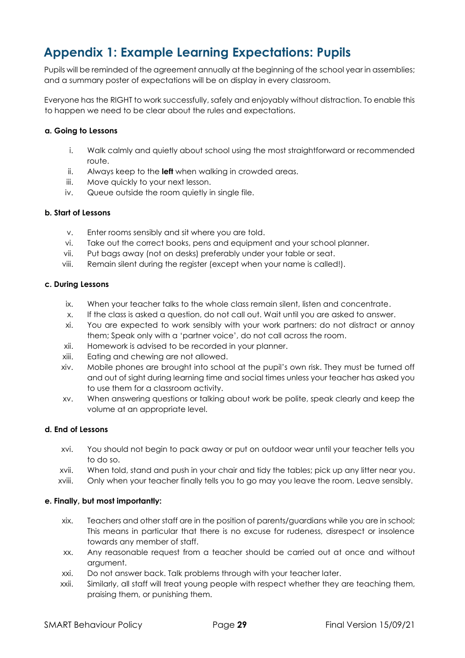## <span id="page-28-0"></span>**Appendix 1: Example Learning Expectations: Pupils**

Pupils will be reminded of the agreement annually at the beginning of the school year in assemblies; and a summary poster of expectations will be on display in every classroom.

Everyone has the RIGHT to work successfully, safely and enjoyably without distraction. To enable this to happen we need to be clear about the rules and expectations.

#### **a. Going to Lessons**

- i. Walk calmly and quietly about school using the most straightforward or recommended route.
- ii. Always keep to the **left** when walking in crowded areas.
- iii. Move quickly to your next lesson.
- iv. Queue outside the room quietly in single file.

#### **b. Start of Lessons**

- v. Enter rooms sensibly and sit where you are told.
- vi. Take out the correct books, pens and equipment and your school planner.
- vii. Put bags away (not on desks) preferably under your table or seat.
- viii. Remain silent during the register (except when your name is called!).

#### **c. During Lessons**

- ix. When your teacher talks to the whole class remain silent, listen and concentrate.
- x. If the class is asked a question, do not call out. Wait until you are asked to answer.
- xi. You are expected to work sensibly with your work partners: do not distract or annoy them; Speak only with a 'partner voice', do not call across the room.
- xii. Homework is advised to be recorded in your planner.
- xiii. Eating and chewing are not allowed.
- xiv. Mobile phones are brought into school at the pupil's own risk. They must be turned off and out of sight during learning time and social times unless your teacher has asked you to use them for a classroom activity.
- xv. When answering questions or talking about work be polite, speak clearly and keep the volume at an appropriate level.

#### **d. End of Lessons**

- xvi. You should not begin to pack away or put on outdoor wear until your teacher tells you to do so.
- xvii. When told, stand and push in your chair and tidy the tables; pick up any litter near you.
- xviii. Only when your teacher finally tells you to go may you leave the room. Leave sensibly.

#### **e. Finally, but most importantly:**

- xix. Teachers and other staff are in the position of parents/guardians while you are in school; This means in particular that there is no excuse for rudeness, disrespect or insolence towards any member of staff.
- xx. Any reasonable request from a teacher should be carried out at once and without argument.
- xxi. Do not answer back. Talk problems through with your teacher later.
- xxii. Similarly, all staff will treat young people with respect whether they are teaching them, praising them, or punishing them.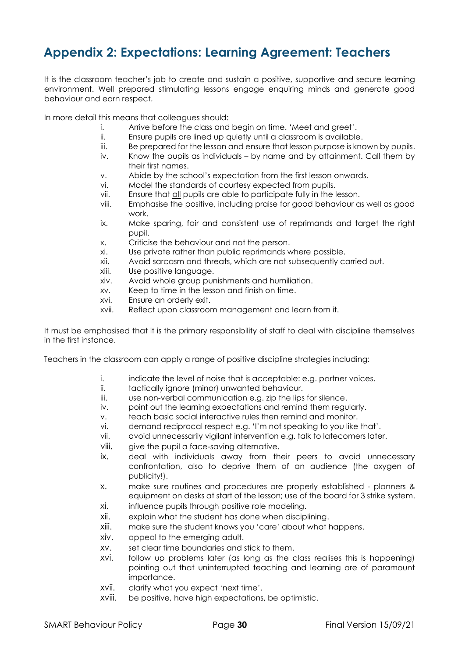## <span id="page-29-0"></span>**Appendix 2: Expectations: Learning Agreement: Teachers**

It is the classroom teacher's job to create and sustain a positive, supportive and secure learning environment. Well prepared stimulating lessons engage enquiring minds and generate good behaviour and earn respect.

In more detail this means that colleagues should:

- i. Arrive before the class and begin on time. 'Meet and greet'.
- ii. Ensure pupils are lined up quietly until a classroom is available.
- iii. Be prepared for the lesson and ensure that lesson purpose is known by pupils.
- iv. Know the pupils as individuals by name and by attainment. Call them by their first names.
- v. Abide by the school's expectation from the first lesson onwards.
- vi. Model the standards of courtesy expected from pupils.
- vii. Ensure that all pupils are able to participate fully in the lesson.
- viii. Emphasise the positive, including praise for good behaviour as well as good work.
- ix. Make sparing, fair and consistent use of reprimands and target the right pupil.
- x. Criticise the behaviour and not the person.
- xi. Use private rather than public reprimands where possible.
- xii. Avoid sarcasm and threats, which are not subsequently carried out.
- xiii. Use positive language.
- xiv. Avoid whole group punishments and humiliation.
- xv. Keep to time in the lesson and finish on time.
- xvi. Ensure an orderly exit.
- xvii. Reflect upon classroom management and learn from it.

It must be emphasised that it is the primary responsibility of staff to deal with discipline themselves in the first instance.

Teachers in the classroom can apply a range of positive discipline strategies including:

- i. indicate the level of noise that is acceptable: e.g. partner voices.
- ii. tactically ignore (minor) unwanted behaviour.
- iii. use non-verbal communication e.g. zip the lips for silence.
- iv. point out the learning expectations and remind them regularly.
- v. teach basic social interactive rules then remind and monitor.
- vi. demand reciprocal respect e.g. 'I'm not speaking to you like that'.
- vii. avoid unnecessarily vigilant intervention e.g. talk to latecomers later.
- viii. give the pupil a face-saving alternative.
- ix. deal with individuals away from their peers to avoid unnecessary confrontation, also to deprive them of an audience (the oxygen of publicity!).
- x. make sure routines and procedures are properly established planners & equipment on desks at start of the lesson; use of the board for 3 strike system.
- xi. influence pupils through positive role modeling.
- xii. explain what the student has done when disciplining.
- xiii. make sure the student knows you 'care' about what happens.
- xiv. appeal to the emerging adult.
- xv. set clear time boundaries and stick to them.
- xvi. follow up problems later (as long as the class realises this is happening) pointing out that uninterrupted teaching and learning are of paramount importance.
- xvii. clarify what you expect 'next time'.
- xviii. be positive, have high expectations, be optimistic.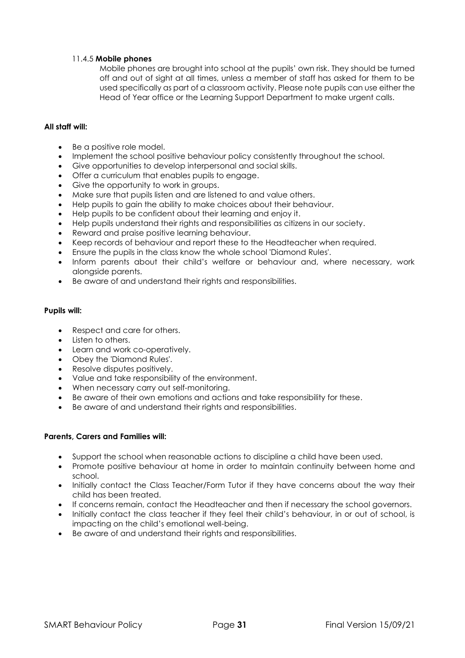#### 11.4.5 **Mobile phones**

Mobile phones are brought into school at the pupils' own risk. They should be turned off and out of sight at all times, unless a member of staff has asked for them to be used specifically as part of a classroom activity. Please note pupils can use either the Head of Year office or the Learning Support Department to make urgent calls.

#### **All staff will:**

- Be a positive role model.
- Implement the school positive behaviour policy consistently throughout the school.
- Give opportunities to develop interpersonal and social skills.
- Offer a curriculum that enables pupils to engage.
- Give the opportunity to work in groups.
- Make sure that pupils listen and are listened to and value others.
- Help pupils to gain the ability to make choices about their behaviour.
- Help pupils to be confident about their learning and enjoy it.
- Help pupils understand their rights and responsibilities as citizens in our society.
- Reward and praise positive learning behaviour.
- Keep records of behaviour and report these to the Headteacher when required.
- Ensure the pupils in the class know the whole school 'Diamond Rules'.
- Inform parents about their child's welfare or behaviour and, where necessary, work alongside parents.
- Be aware of and understand their rights and responsibilities.

#### **Pupils will:**

- Respect and care for others.
- Listen to others.
- Learn and work co-operatively.
- Obey the 'Diamond Rules'.
- Resolve disputes positively.
- Value and take responsibility of the environment.
- When necessary carry out self-monitoring.
- Be aware of their own emotions and actions and take responsibility for these.
- Be aware of and understand their rights and responsibilities.

#### **Parents, Carers and Families will:**

- Support the school when reasonable actions to discipline a child have been used.
- Promote positive behaviour at home in order to maintain continuity between home and school.
- Initially contact the Class Teacher/Form Tutor if they have concerns about the way their child has been treated.
- If concerns remain, contact the Headteacher and then if necessary the school governors.
- Initially contact the class teacher if they feel their child's behaviour, in or out of school, is impacting on the child's emotional well-being.
- Be aware of and understand their rights and responsibilities.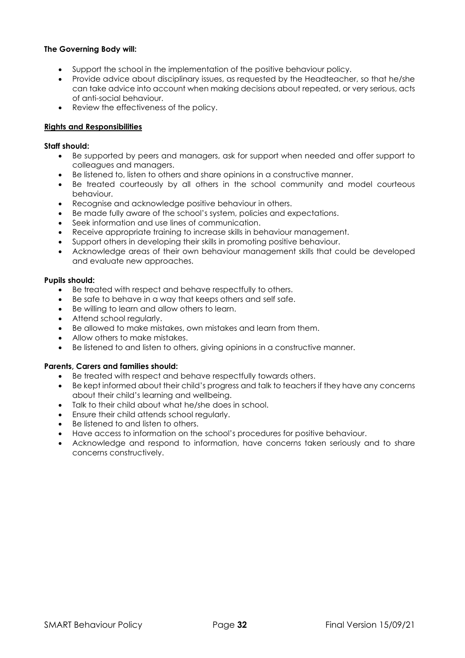#### **The Governing Body will:**

- Support the school in the implementation of the positive behaviour policy.
- Provide advice about disciplinary issues, as requested by the Headteacher, so that he/she can take advice into account when making decisions about repeated, or very serious, acts of anti-social behaviour.
- Review the effectiveness of the policy.

#### **Rights and Responsibilities**

#### **Staff should:**

- Be supported by peers and managers, ask for support when needed and offer support to colleagues and managers.
- Be listened to, listen to others and share opinions in a constructive manner.
- Be treated courteously by all others in the school community and model courteous behaviour.
- Recognise and acknowledge positive behaviour in others.
- Be made fully aware of the school's system, policies and expectations.
- Seek information and use lines of communication.
- Receive appropriate training to increase skills in behaviour management.
- Support others in developing their skills in promoting positive behaviour.
- Acknowledge areas of their own behaviour management skills that could be developed and evaluate new approaches.

#### **Pupils should:**

- Be treated with respect and behave respectfully to others.
- Be safe to behave in a way that keeps others and self safe.
- Be willing to learn and allow others to learn.
- Attend school regularly.
- Be allowed to make mistakes, own mistakes and learn from them.
- Allow others to make mistakes.
- Be listened to and listen to others, giving opinions in a constructive manner.

#### **Parents, Carers and families should:**

- Be treated with respect and behave respectfully towards others.
- Be kept informed about their child's progress and talk to teachers if they have any concerns about their child's learning and wellbeing.
- Talk to their child about what he/she does in school.
- Ensure their child attends school regularly.
- Be listened to and listen to others.
- Have access to information on the school's procedures for positive behaviour.
- Acknowledge and respond to information, have concerns taken seriously and to share concerns constructively.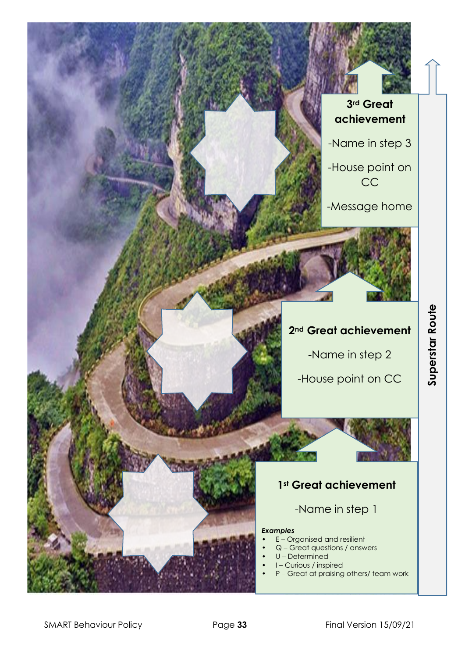## **3rd Great achievement**

-Name in step 3

-House point on CC

-Message home

## **2nd Great achievement**

-Name in step 2

-House point on CC

# Superstar Route **Superstar Route**

## **1st Great achievement**

-Name in step 1

#### *Examples*

- E Organised and resilient
- Q Great questions / answers
- U Determined
- I Curious / inspired
	- P Great at praising others/ team work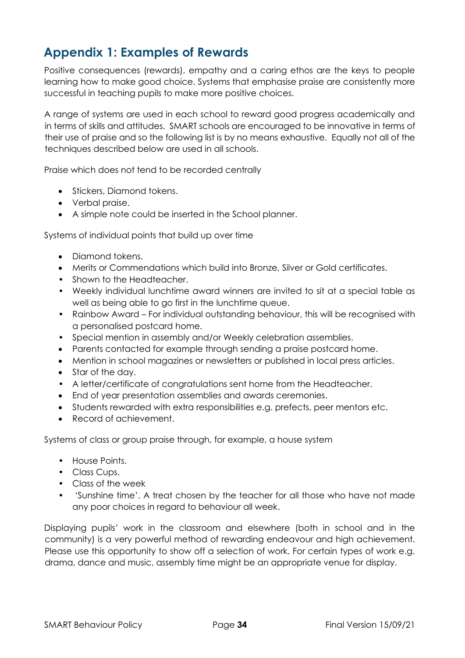## <span id="page-33-0"></span>**Appendix 1: Examples of Rewards**

Positive consequences (rewards), empathy and a caring ethos are the keys to people learning how to make good choice. Systems that emphasise praise are consistently more successful in teaching pupils to make more positive choices.

A range of systems are used in each school to reward good progress academically and in terms of skills and attitudes. SMART schools are encouraged to be innovative in terms of their use of praise and so the following list is by no means exhaustive. Equally not all of the techniques described below are used in all schools.

Praise which does not tend to be recorded centrally

- Stickers, Diamond tokens.
- Verbal praise.
- A simple note could be inserted in the School planner.

Systems of individual points that build up over time

- Diamond tokens.
- Merits or Commendations which build into Bronze, Silver or Gold certificates.
- Shown to the Headteacher.
- Weekly individual lunchtime award winners are invited to sit at a special table as well as being able to go first in the lunchtime queue.
- Rainbow Award For individual outstanding behaviour, this will be recognised with a personalised postcard home.
- Special mention in assembly and/or Weekly celebration assemblies.
- Parents contacted for example through sending a praise postcard home.
- Mention in school magazines or newsletters or published in local press articles.
- Star of the day.
- A letter/certificate of congratulations sent home from the Headteacher.
- End of year presentation assemblies and awards ceremonies.
- Students rewarded with extra responsibilities e.g. prefects, peer mentors etc.
- Record of achievement.

Systems of class or group praise through, for example, a house system

- House Points.
- Class Cups.
- Class of the week
- 'Sunshine time'. A treat chosen by the teacher for all those who have not made any poor choices in regard to behaviour all week.

Displaying pupils' work in the classroom and elsewhere (both in school and in the community) is a very powerful method of rewarding endeavour and high achievement. Please use this opportunity to show off a selection of work. For certain types of work e.g. drama, dance and music, assembly time might be an appropriate venue for display.